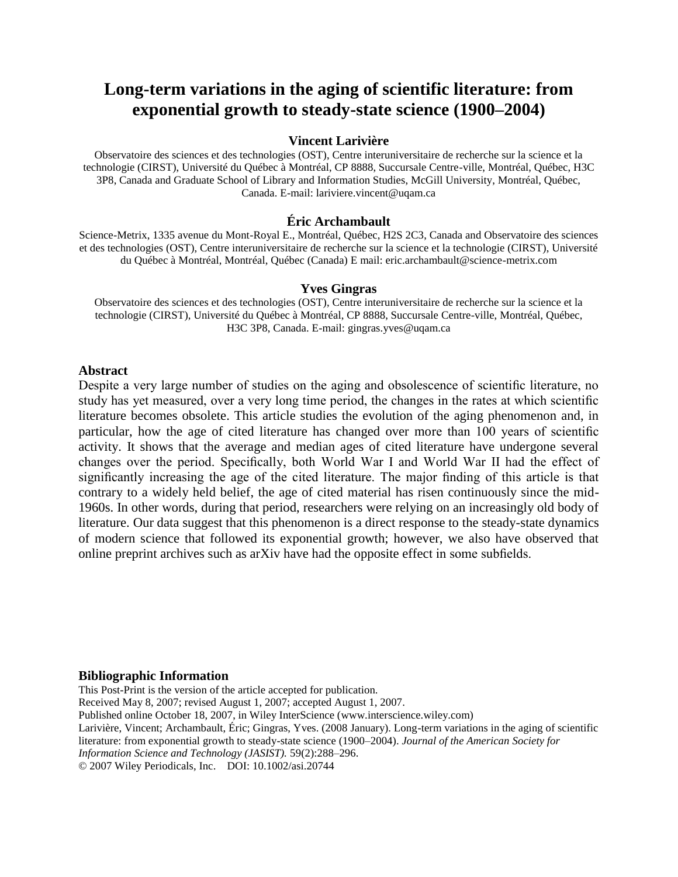# **Long-term variations in the aging of scientific literature: from exponential growth to steady-state science (1900–2004)**

#### **Vincent Larivière**

Observatoire des sciences et des technologies (OST), Centre interuniversitaire de recherche sur la science et la technologie (CIRST), Université du Québec à Montréal, CP 8888, Succursale Centre-ville, Montréal, Québec, H3C 3P8, Canada and Graduate School of Library and Information Studies, McGill University, Montréal, Québec, Canada. E-mail: lariviere.vincent@uqam.ca

#### **Éric Archambault**

Science-Metrix, 1335 avenue du Mont-Royal E., Montréal, Québec, H2S 2C3, Canada and Observatoire des sciences et des technologies (OST), Centre interuniversitaire de recherche sur la science et la technologie (CIRST), Université du Québec à Montréal, Montréal, Québec (Canada) E mail: eric.archambault@science-metrix.com

#### **Yves Gingras**

Observatoire des sciences et des technologies (OST), Centre interuniversitaire de recherche sur la science et la technologie (CIRST), Université du Québec à Montréal, CP 8888, Succursale Centre-ville, Montréal, Québec, H3C 3P8, Canada. E-mail: [gingras.yves@uqam.ca](mailto:gingras.yves@uqam.ca)

#### **Abstract**

Despite a very large number of studies on the aging and obsolescence of scientific literature, no study has yet measured, over a very long time period, the changes in the rates at which scientific literature becomes obsolete. This article studies the evolution of the aging phenomenon and, in particular, how the age of cited literature has changed over more than 100 years of scientific activity. It shows that the average and median ages of cited literature have undergone several changes over the period. Specifically, both World War I and World War II had the effect of significantly increasing the age of the cited literature. The major finding of this article is that contrary to a widely held belief, the age of cited material has risen continuously since the mid-1960s. In other words, during that period, researchers were relying on an increasingly old body of literature. Our data suggest that this phenomenon is a direct response to the steady-state dynamics of modern science that followed its exponential growth; however, we also have observed that online preprint archives such as arXiv have had the opposite effect in some subfields.

#### **Bibliographic Information**

This Post-Print is the version of the article accepted for publication. Received May 8, 2007; revised August 1, 2007; accepted August 1, 2007. Published online October 18, 2007, in Wiley InterScience (www.interscience.wiley.com) Larivière, Vincent; Archambault, Éric; Gingras, Yves. (2008 January). Long-term variations in the aging of scientific literature: from exponential growth to steady-state science (1900–2004). *Journal of the American Society for Information Science and Technology (JASIST).* 59(2):288–296. © 2007 Wiley Periodicals, Inc. DOI: 10.1002/asi.20744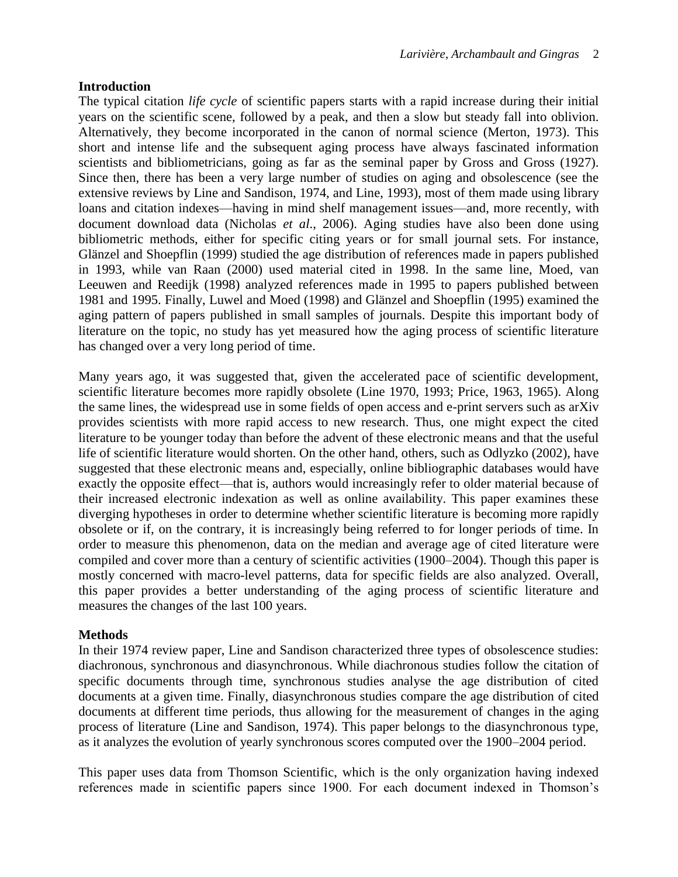## **Introduction**

The typical citation *life cycle* of scientific papers starts with a rapid increase during their initial years on the scientific scene, followed by a peak, and then a slow but steady fall into oblivion. Alternatively, they become incorporated in the canon of normal science (Merton, 1973). This short and intense life and the subsequent aging process have always fascinated information scientists and bibliometricians, going as far as the seminal paper by Gross and Gross (1927). Since then, there has been a very large number of studies on aging and obsolescence (see the extensive reviews by Line and Sandison, 1974, and Line, 1993), most of them made using library loans and citation indexes—having in mind shelf management issues—and, more recently, with document download data (Nicholas *et al*., 2006). Aging studies have also been done using bibliometric methods, either for specific citing years or for small journal sets. For instance, Glänzel and Shoepflin (1999) studied the age distribution of references made in papers published in 1993, while van Raan (2000) used material cited in 1998. In the same line, Moed, van Leeuwen and Reedijk (1998) analyzed references made in 1995 to papers published between 1981 and 1995. Finally, Luwel and Moed (1998) and Glänzel and Shoepflin (1995) examined the aging pattern of papers published in small samples of journals. Despite this important body of literature on the topic, no study has yet measured how the aging process of scientific literature has changed over a very long period of time.

Many years ago, it was suggested that, given the accelerated pace of scientific development, scientific literature becomes more rapidly obsolete (Line 1970, 1993; Price, 1963, 1965). Along the same lines, the widespread use in some fields of open access and e-print servers such as arXiv provides scientists with more rapid access to new research. Thus, one might expect the cited literature to be younger today than before the advent of these electronic means and that the useful life of scientific literature would shorten. On the other hand, others, such as Odlyzko (2002), have suggested that these electronic means and, especially, online bibliographic databases would have exactly the opposite effect—that is, authors would increasingly refer to older material because of their increased electronic indexation as well as online availability. This paper examines these diverging hypotheses in order to determine whether scientific literature is becoming more rapidly obsolete or if, on the contrary, it is increasingly being referred to for longer periods of time. In order to measure this phenomenon, data on the median and average age of cited literature were compiled and cover more than a century of scientific activities (1900–2004). Though this paper is mostly concerned with macro-level patterns, data for specific fields are also analyzed. Overall, this paper provides a better understanding of the aging process of scientific literature and measures the changes of the last 100 years.

## **Methods**

In their 1974 review paper, Line and Sandison characterized three types of obsolescence studies: diachronous, synchronous and diasynchronous. While diachronous studies follow the citation of specific documents through time, synchronous studies analyse the age distribution of cited documents at a given time. Finally, diasynchronous studies compare the age distribution of cited documents at different time periods, thus allowing for the measurement of changes in the aging process of literature (Line and Sandison, 1974). This paper belongs to the diasynchronous type, as it analyzes the evolution of yearly synchronous scores computed over the 1900–2004 period.

This paper uses data from Thomson Scientific, which is the only organization having indexed references made in scientific papers since 1900. For each document indexed in Thomson's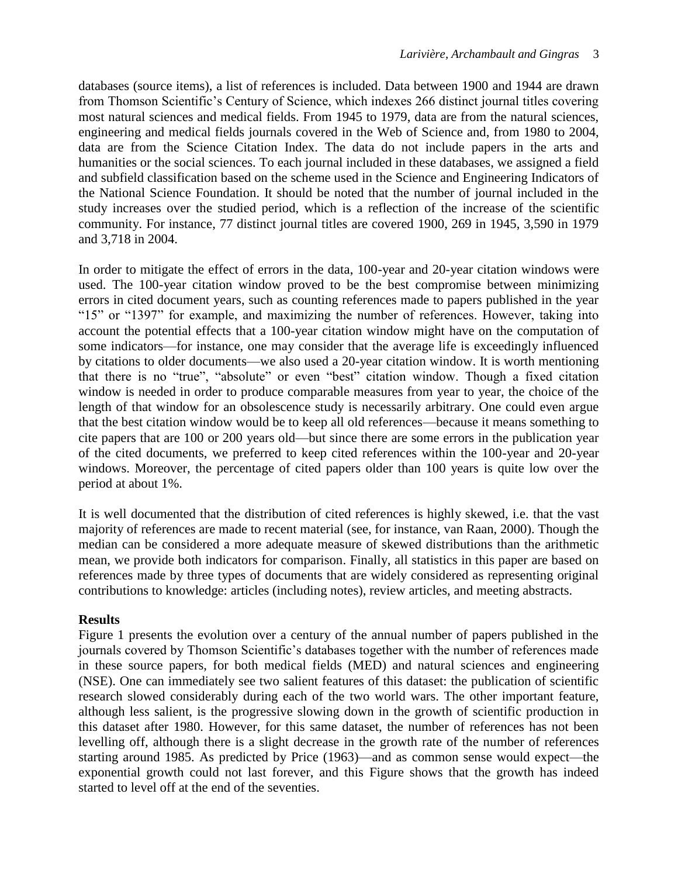databases (source items), a list of references is included. Data between 1900 and 1944 are drawn from Thomson Scientific's Century of Science, which indexes 266 distinct journal titles covering most natural sciences and medical fields. From 1945 to 1979, data are from the natural sciences, engineering and medical fields journals covered in the Web of Science and, from 1980 to 2004, data are from the Science Citation Index. The data do not include papers in the arts and humanities or the social sciences. To each journal included in these databases, we assigned a field and subfield classification based on the scheme used in the Science and Engineering Indicators of the National Science Foundation. It should be noted that the number of journal included in the study increases over the studied period, which is a reflection of the increase of the scientific community. For instance, 77 distinct journal titles are covered 1900, 269 in 1945, 3,590 in 1979 and 3,718 in 2004.

In order to mitigate the effect of errors in the data, 100-year and 20-year citation windows were used. The 100-year citation window proved to be the best compromise between minimizing errors in cited document years, such as counting references made to papers published in the year "15" or "1397" for example, and maximizing the number of references. However, taking into account the potential effects that a 100-year citation window might have on the computation of some indicators—for instance, one may consider that the average life is exceedingly influenced by citations to older documents—we also used a 20-year citation window. It is worth mentioning that there is no "true", "absolute" or even "best" citation window. Though a fixed citation window is needed in order to produce comparable measures from year to year, the choice of the length of that window for an obsolescence study is necessarily arbitrary. One could even argue that the best citation window would be to keep all old references—because it means something to cite papers that are 100 or 200 years old—but since there are some errors in the publication year of the cited documents, we preferred to keep cited references within the 100-year and 20-year windows. Moreover, the percentage of cited papers older than 100 years is quite low over the period at about 1%.

It is well documented that the distribution of cited references is highly skewed, i.e. that the vast majority of references are made to recent material (see, for instance, van Raan, 2000). Though the median can be considered a more adequate measure of skewed distributions than the arithmetic mean, we provide both indicators for comparison. Finally, all statistics in this paper are based on references made by three types of documents that are widely considered as representing original contributions to knowledge: articles (including notes), review articles, and meeting abstracts.

## **Results**

Figure 1 presents the evolution over a century of the annual number of papers published in the journals covered by Thomson Scientific's databases together with the number of references made in these source papers, for both medical fields (MED) and natural sciences and engineering (NSE). One can immediately see two salient features of this dataset: the publication of scientific research slowed considerably during each of the two world wars. The other important feature, although less salient, is the progressive slowing down in the growth of scientific production in this dataset after 1980. However, for this same dataset, the number of references has not been levelling off, although there is a slight decrease in the growth rate of the number of references starting around 1985. As predicted by Price (1963)—and as common sense would expect—the exponential growth could not last forever, and this Figure shows that the growth has indeed started to level off at the end of the seventies.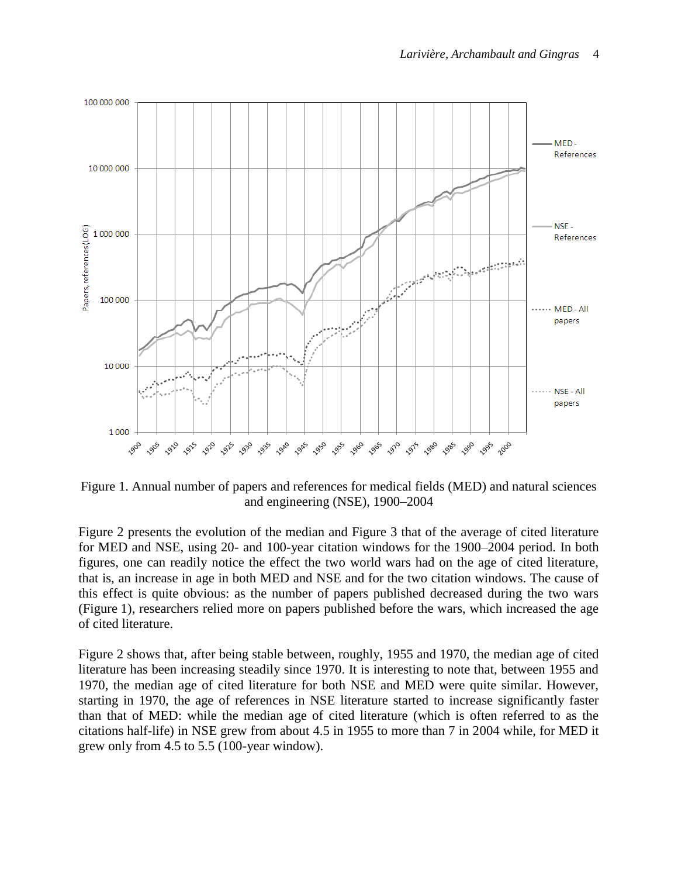

Figure 1. Annual number of papers and references for medical fields (MED) and natural sciences and engineering (NSE), 1900–2004

Figure 2 presents the evolution of the median and Figure 3 that of the average of cited literature for MED and NSE, using 20- and 100-year citation windows for the 1900–2004 period. In both figures, one can readily notice the effect the two world wars had on the age of cited literature, that is, an increase in age in both MED and NSE and for the two citation windows. The cause of this effect is quite obvious: as the number of papers published decreased during the two wars (Figure 1), researchers relied more on papers published before the wars, which increased the age of cited literature.

Figure 2 shows that, after being stable between, roughly, 1955 and 1970, the median age of cited literature has been increasing steadily since 1970. It is interesting to note that, between 1955 and 1970, the median age of cited literature for both NSE and MED were quite similar. However, starting in 1970, the age of references in NSE literature started to increase significantly faster than that of MED: while the median age of cited literature (which is often referred to as the citations half-life) in NSE grew from about 4.5 in 1955 to more than 7 in 2004 while, for MED it grew only from 4.5 to 5.5 (100-year window).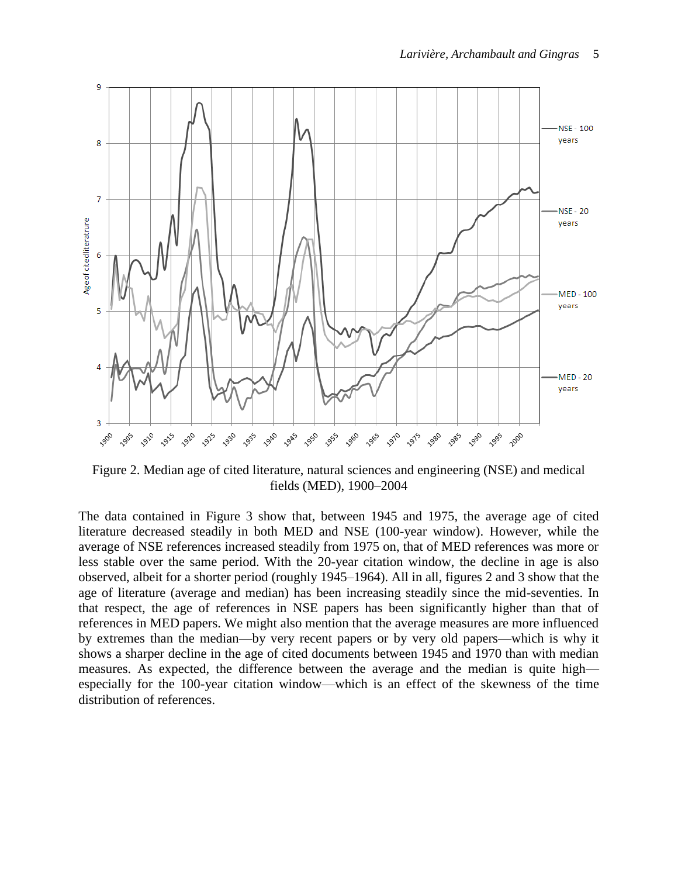

Figure 2. Median age of cited literature, natural sciences and engineering (NSE) and medical fields (MED), 1900–2004

The data contained in Figure 3 show that, between 1945 and 1975, the average age of cited literature decreased steadily in both MED and NSE (100-year window). However, while the average of NSE references increased steadily from 1975 on, that of MED references was more or less stable over the same period. With the 20-year citation window, the decline in age is also observed, albeit for a shorter period (roughly 1945–1964). All in all, figures 2 and 3 show that the age of literature (average and median) has been increasing steadily since the mid-seventies. In that respect, the age of references in NSE papers has been significantly higher than that of references in MED papers. We might also mention that the average measures are more influenced by extremes than the median—by very recent papers or by very old papers—which is why it shows a sharper decline in the age of cited documents between 1945 and 1970 than with median measures. As expected, the difference between the average and the median is quite high especially for the 100-year citation window—which is an effect of the skewness of the time distribution of references.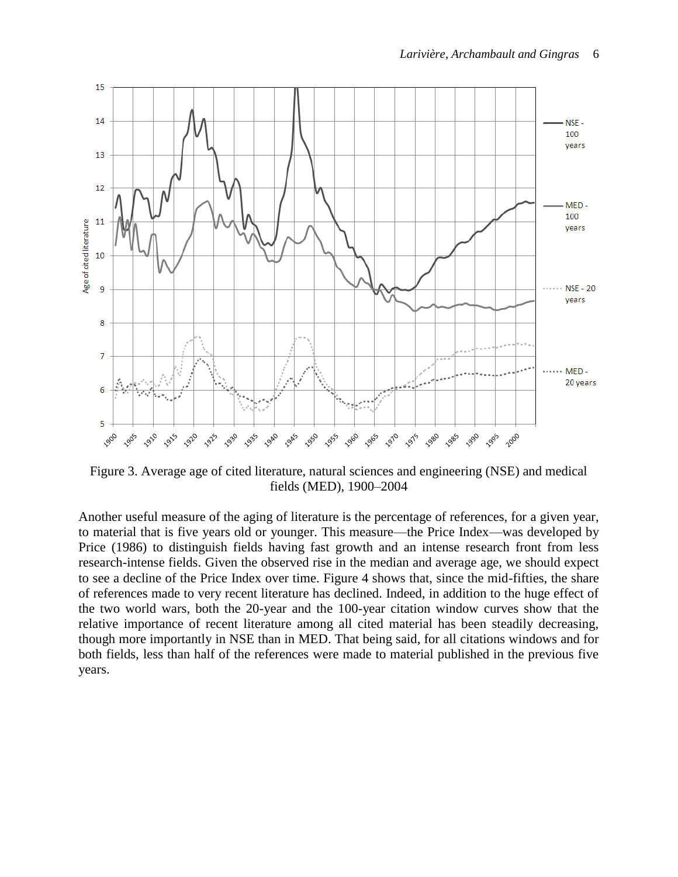

Figure 3. Average age of cited literature, natural sciences and engineering (NSE) and medical fields (MED), 1900–2004

Another useful measure of the aging of literature is the percentage of references, for a given year, to material that is five years old or younger. This measure—the Price Index—was developed by Price (1986) to distinguish fields having fast growth and an intense research front from less research-intense fields. Given the observed rise in the median and average age, we should expect to see a decline of the Price Index over time. Figure 4 shows that, since the mid-fifties, the share of references made to very recent literature has declined. Indeed, in addition to the huge effect of the two world wars, both the 20-year and the 100-year citation window curves show that the relative importance of recent literature among all cited material has been steadily decreasing, though more importantly in NSE than in MED. That being said, for all citations windows and for both fields, less than half of the references were made to material published in the previous five years.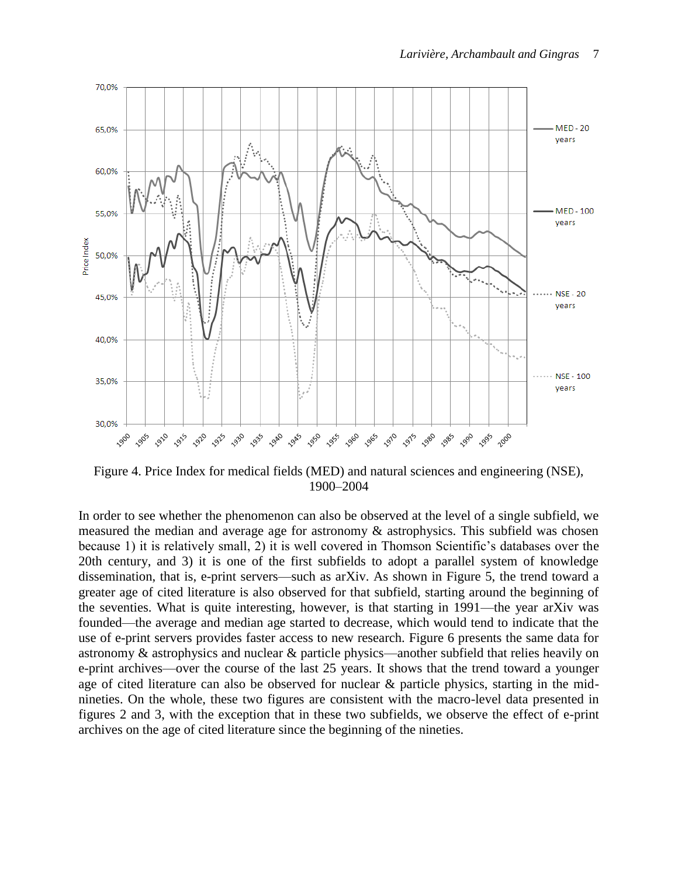

Figure 4. Price Index for medical fields (MED) and natural sciences and engineering (NSE), 1900–2004

In order to see whether the phenomenon can also be observed at the level of a single subfield, we measured the median and average age for astronomy & astrophysics. This subfield was chosen because 1) it is relatively small, 2) it is well covered in Thomson Scientific's databases over the 20th century, and 3) it is one of the first subfields to adopt a parallel system of knowledge dissemination, that is, e-print servers—such as arXiv. As shown in Figure 5, the trend toward a greater age of cited literature is also observed for that subfield, starting around the beginning of the seventies. What is quite interesting, however, is that starting in 1991—the year arXiv was founded—the average and median age started to decrease, which would tend to indicate that the use of e-print servers provides faster access to new research. Figure 6 presents the same data for astronomy & astrophysics and nuclear & particle physics—another subfield that relies heavily on e-print archives—over the course of the last 25 years. It shows that the trend toward a younger age of cited literature can also be observed for nuclear & particle physics, starting in the midnineties. On the whole, these two figures are consistent with the macro-level data presented in figures 2 and 3, with the exception that in these two subfields, we observe the effect of e-print archives on the age of cited literature since the beginning of the nineties.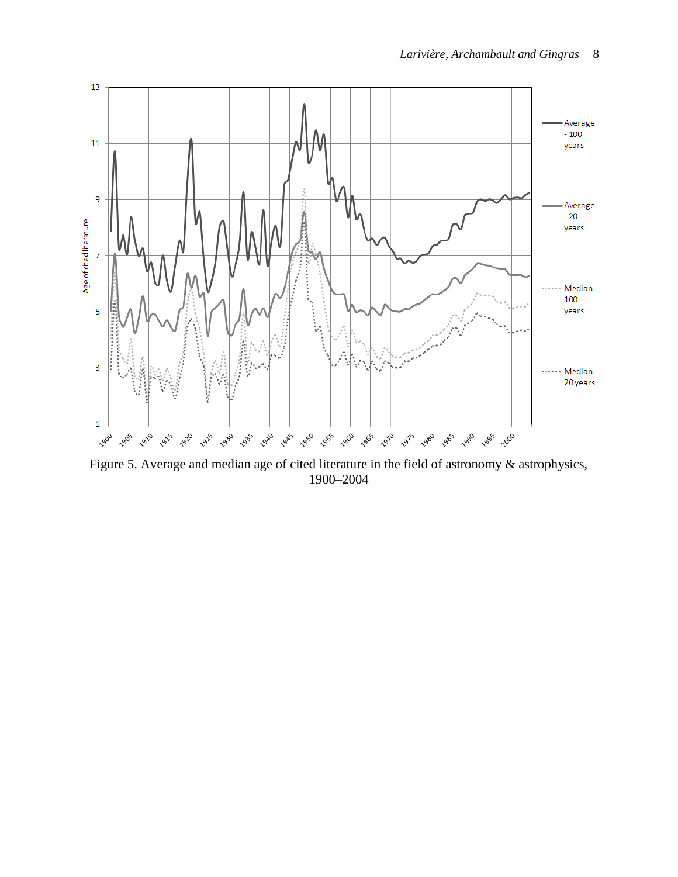

Figure 5. Average and median age of cited literature in the field of astronomy & astrophysics, 1900–2004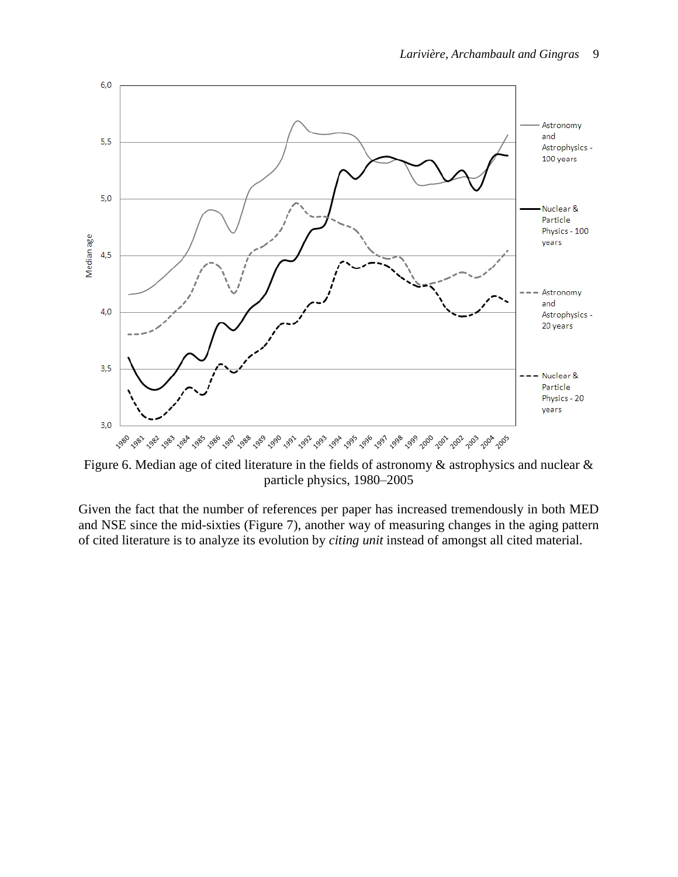

Figure 6. Median age of cited literature in the fields of astronomy & astrophysics and nuclear & particle physics, 1980–2005

Given the fact that the number of references per paper has increased tremendously in both MED and NSE since the mid-sixties (Figure 7), another way of measuring changes in the aging pattern of cited literature is to analyze its evolution by *citing unit* instead of amongst all cited material.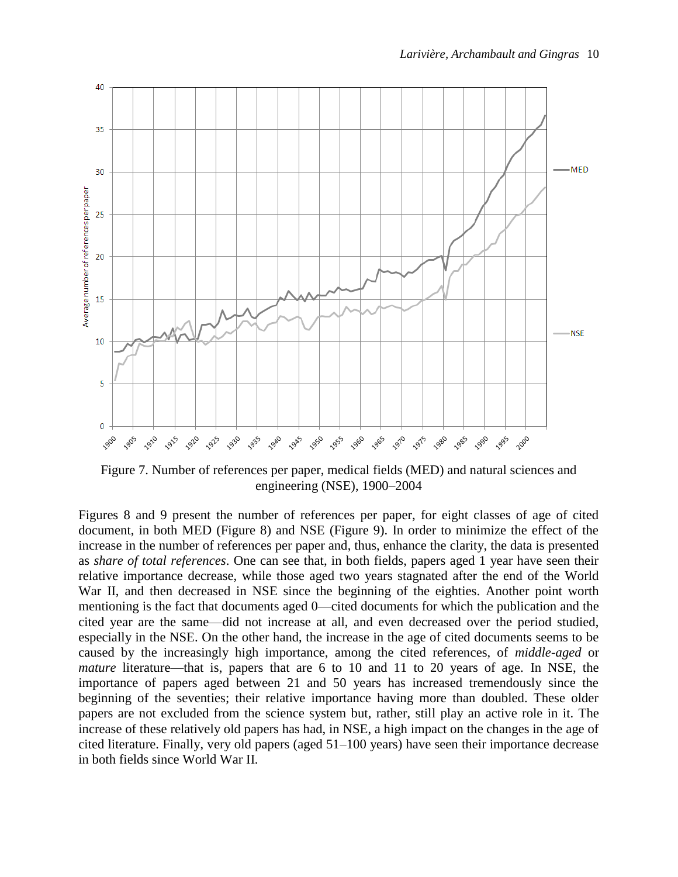

Figure 7. Number of references per paper, medical fields (MED) and natural sciences and engineering (NSE), 1900–2004

Figures 8 and 9 present the number of references per paper, for eight classes of age of cited document, in both MED (Figure 8) and NSE (Figure 9). In order to minimize the effect of the increase in the number of references per paper and, thus, enhance the clarity, the data is presented as *share of total references*. One can see that, in both fields, papers aged 1 year have seen their relative importance decrease, while those aged two years stagnated after the end of the World War II, and then decreased in NSE since the beginning of the eighties. Another point worth mentioning is the fact that documents aged 0—cited documents for which the publication and the cited year are the same—did not increase at all, and even decreased over the period studied, especially in the NSE. On the other hand, the increase in the age of cited documents seems to be caused by the increasingly high importance, among the cited references, of *middle-aged* or *mature* literature—that is, papers that are 6 to 10 and 11 to 20 years of age. In NSE, the importance of papers aged between 21 and 50 years has increased tremendously since the beginning of the seventies; their relative importance having more than doubled. These older papers are not excluded from the science system but, rather, still play an active role in it. The increase of these relatively old papers has had, in NSE, a high impact on the changes in the age of cited literature. Finally, very old papers (aged 51–100 years) have seen their importance decrease in both fields since World War II.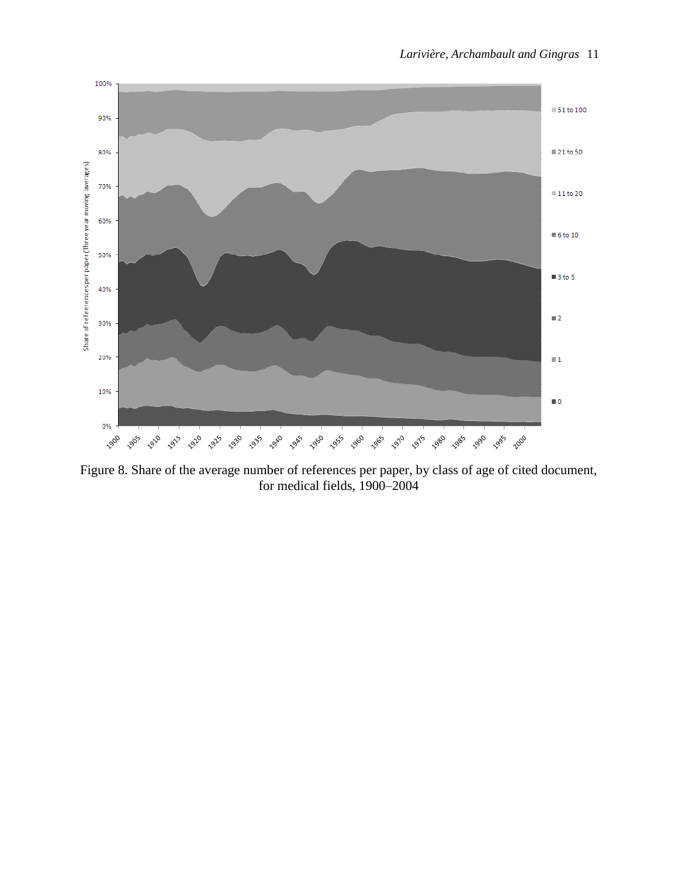

Figure 8. Share of the average number of references per paper, by class of age of cited document, for medical fields, 1900–2004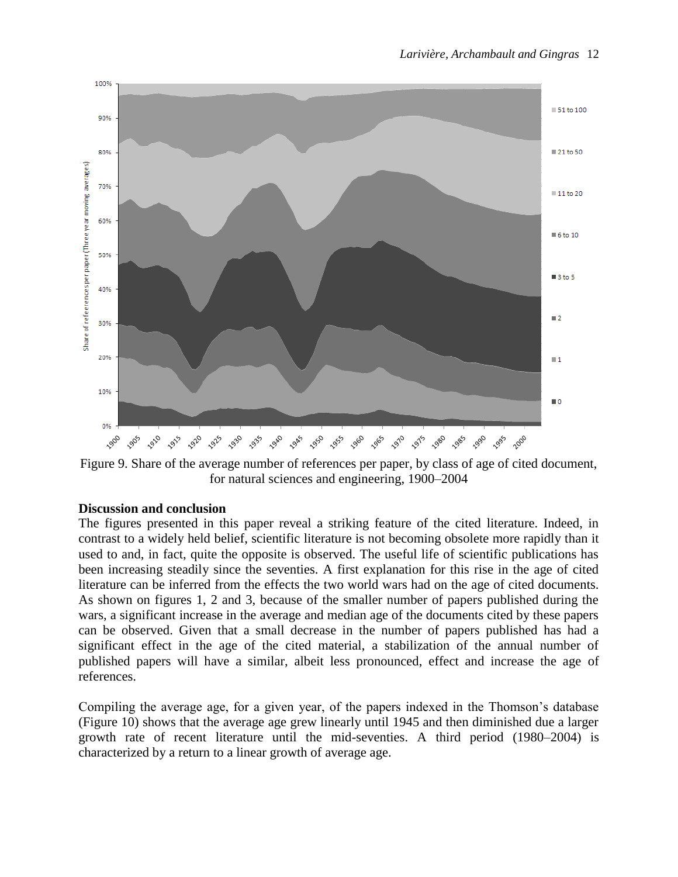

Figure 9. Share of the average number of references per paper, by class of age of cited document, for natural sciences and engineering, 1900–2004

### **Discussion and conclusion**

The figures presented in this paper reveal a striking feature of the cited literature. Indeed, in contrast to a widely held belief, scientific literature is not becoming obsolete more rapidly than it used to and, in fact, quite the opposite is observed. The useful life of scientific publications has been increasing steadily since the seventies. A first explanation for this rise in the age of cited literature can be inferred from the effects the two world wars had on the age of cited documents. As shown on figures 1, 2 and 3, because of the smaller number of papers published during the wars, a significant increase in the average and median age of the documents cited by these papers can be observed. Given that a small decrease in the number of papers published has had a significant effect in the age of the cited material, a stabilization of the annual number of published papers will have a similar, albeit less pronounced, effect and increase the age of references.

Compiling the average age, for a given year, of the papers indexed in the Thomson's database (Figure 10) shows that the average age grew linearly until 1945 and then diminished due a larger growth rate of recent literature until the mid-seventies. A third period (1980–2004) is characterized by a return to a linear growth of average age.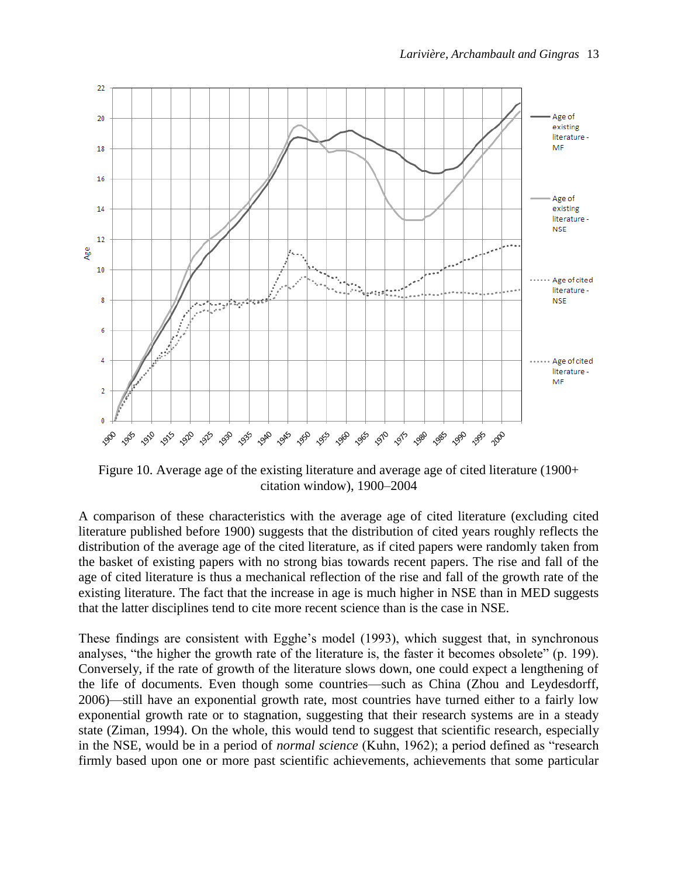

Figure 10. Average age of the existing literature and average age of cited literature (1900+ citation window), 1900–2004

A comparison of these characteristics with the average age of cited literature (excluding cited literature published before 1900) suggests that the distribution of cited years roughly reflects the distribution of the average age of the cited literature, as if cited papers were randomly taken from the basket of existing papers with no strong bias towards recent papers. The rise and fall of the age of cited literature is thus a mechanical reflection of the rise and fall of the growth rate of the existing literature. The fact that the increase in age is much higher in NSE than in MED suggests that the latter disciplines tend to cite more recent science than is the case in NSE.

These findings are consistent with Egghe's model (1993), which suggest that, in synchronous analyses, "the higher the growth rate of the literature is, the faster it becomes obsolete" (p. 199). Conversely, if the rate of growth of the literature slows down, one could expect a lengthening of the life of documents. Even though some countries—such as China (Zhou and Leydesdorff, 2006)—still have an exponential growth rate, most countries have turned either to a fairly low exponential growth rate or to stagnation, suggesting that their research systems are in a steady state (Ziman, 1994). On the whole, this would tend to suggest that scientific research, especially in the NSE, would be in a period of *normal science* (Kuhn, 1962); a period defined as "research firmly based upon one or more past scientific achievements, achievements that some particular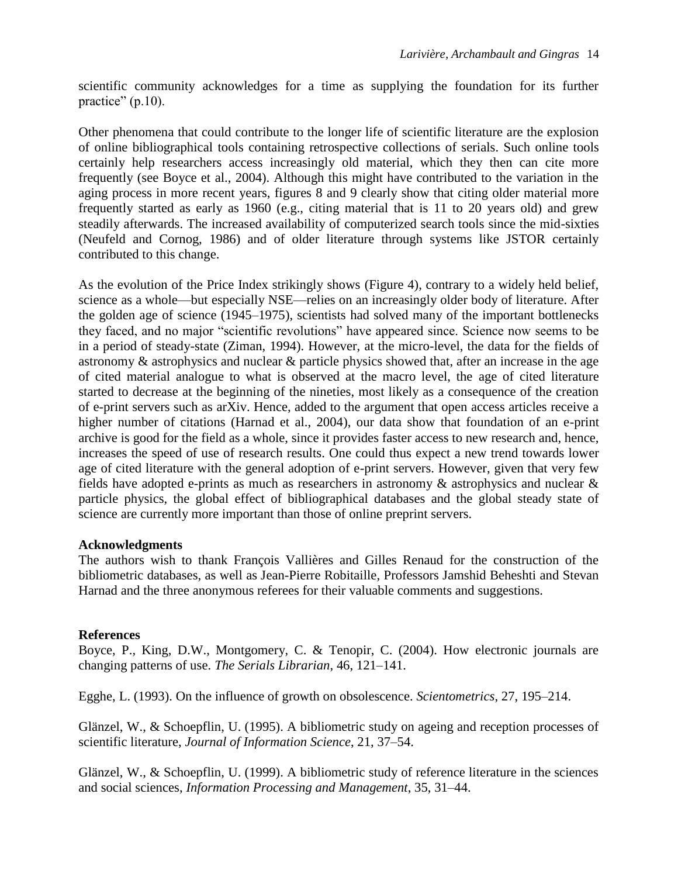scientific community acknowledges for a time as supplying the foundation for its further practice"  $(p.10)$ .

Other phenomena that could contribute to the longer life of scientific literature are the explosion of online bibliographical tools containing retrospective collections of serials. Such online tools certainly help researchers access increasingly old material, which they then can cite more frequently (see Boyce et al., 2004). Although this might have contributed to the variation in the aging process in more recent years, figures 8 and 9 clearly show that citing older material more frequently started as early as 1960 (e.g., citing material that is 11 to 20 years old) and grew steadily afterwards. The increased availability of computerized search tools since the mid-sixties (Neufeld and Cornog, 1986) and of older literature through systems like JSTOR certainly contributed to this change.

As the evolution of the Price Index strikingly shows (Figure 4), contrary to a widely held belief, science as a whole—but especially NSE—relies on an increasingly older body of literature. After the golden age of science (1945–1975), scientists had solved many of the important bottlenecks they faced, and no major "scientific revolutions" have appeared since. Science now seems to be in a period of steady-state (Ziman, 1994). However, at the micro-level, the data for the fields of astronomy & astrophysics and nuclear & particle physics showed that, after an increase in the age of cited material analogue to what is observed at the macro level, the age of cited literature started to decrease at the beginning of the nineties, most likely as a consequence of the creation of e-print servers such as arXiv. Hence, added to the argument that open access articles receive a higher number of citations (Harnad et al., 2004), our data show that foundation of an e-print archive is good for the field as a whole, since it provides faster access to new research and, hence, increases the speed of use of research results. One could thus expect a new trend towards lower age of cited literature with the general adoption of e-print servers. However, given that very few fields have adopted e-prints as much as researchers in astronomy & astrophysics and nuclear & particle physics, the global effect of bibliographical databases and the global steady state of science are currently more important than those of online preprint servers.

## **Acknowledgments**

The authors wish to thank François Vallières and Gilles Renaud for the construction of the bibliometric databases, as well as Jean-Pierre Robitaille, Professors Jamshid Beheshti and Stevan Harnad and the three anonymous referees for their valuable comments and suggestions.

## **References**

Boyce, P., King, D.W., Montgomery, C. & Tenopir, C. (2004). How electronic journals are changing patterns of use. *The Serials Librarian*, 46, 121–141.

Egghe, L. (1993). On the influence of growth on obsolescence. *Scientometrics*, 27, 195–214.

Glänzel, W., & Schoepflin, U. (1995). A bibliometric study on ageing and reception processes of scientific literature, *Journal of Information Science*, 21, 37–54.

Glänzel, W., & Schoepflin, U. (1999). A bibliometric study of reference literature in the sciences and social sciences, *Information Processing and Management*, 35, 31–44.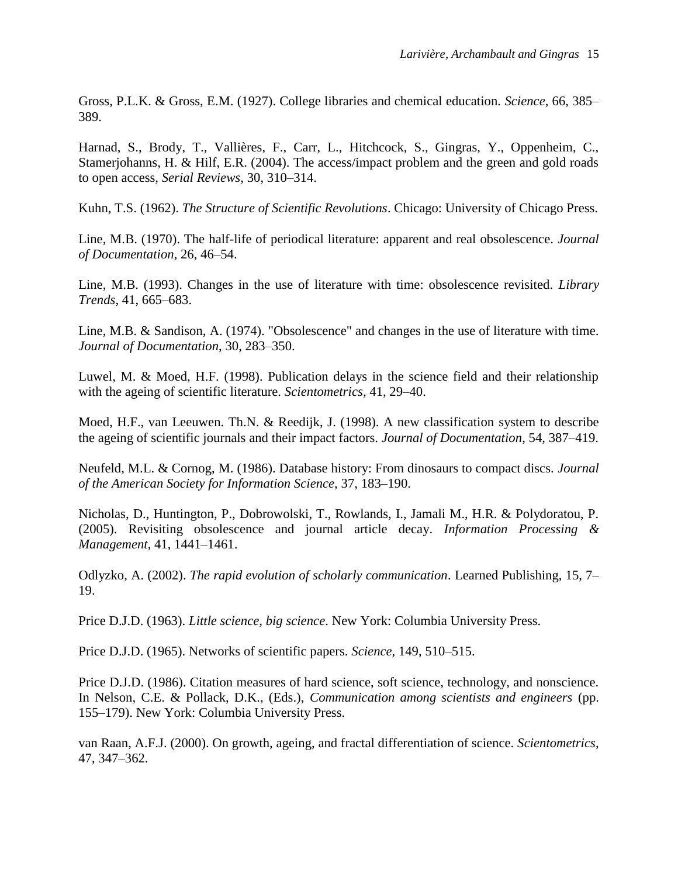Gross, P.L.K. & Gross, E.M. (1927). College libraries and chemical education. *Science*, 66, 385– 389.

Harnad, S., Brody, T., Vallières, F., Carr, L., Hitchcock, S., Gingras, Y., Oppenheim, C., Stamerjohanns, H. & Hilf, E.R. (2004). The access/impact problem and the green and gold roads to open access, *Serial Reviews*, 30, 310–314.

Kuhn, T.S. (1962). *The Structure of Scientific Revolutions*. Chicago: University of Chicago Press.

Line, M.B. (1970). The half-life of periodical literature: apparent and real obsolescence. *Journal of Documentation*, 26, 46–54.

Line, M.B. (1993). Changes in the use of literature with time: obsolescence revisited. *Library Trends*, 41, 665–683.

Line, M.B. & Sandison, A. (1974). "Obsolescence" and changes in the use of literature with time. *Journal of Documentation*, 30, 283–350.

Luwel, M. & Moed, H.F. (1998). Publication delays in the science field and their relationship with the ageing of scientific literature. *Scientometrics*, 41, 29–40.

Moed, H.F., van Leeuwen. Th.N. & Reedijk, J. (1998). A new classification system to describe the ageing of scientific journals and their impact factors. *Journal of Documentation*, 54, 387–419.

Neufeld, M.L. & Cornog, M. (1986). Database history: From dinosaurs to compact discs. *Journal of the American Society for Information Science*, 37, 183–190.

Nicholas, D., Huntington, P., Dobrowolski, T., Rowlands, I., Jamali M., H.R. & Polydoratou, P. (2005). Revisiting obsolescence and journal article decay. *Information Processing & Management*, 41, 1441–1461.

Odlyzko, A. (2002). *The rapid evolution of scholarly communication*. Learned Publishing, 15, 7– 19.

Price D.J.D. (1963). *Little science, big science*. New York: Columbia University Press.

Price D.J.D. (1965). Networks of scientific papers. *Science*, 149, 510–515.

Price D.J.D. (1986). Citation measures of hard science, soft science, technology, and nonscience. In Nelson, C.E. & Pollack, D.K., (Eds.), *Communication among scientists and engineers* (pp. 155–179). New York: Columbia University Press.

van Raan, A.F.J. (2000). On growth, ageing, and fractal differentiation of science. *Scientometrics*, 47, 347–362.